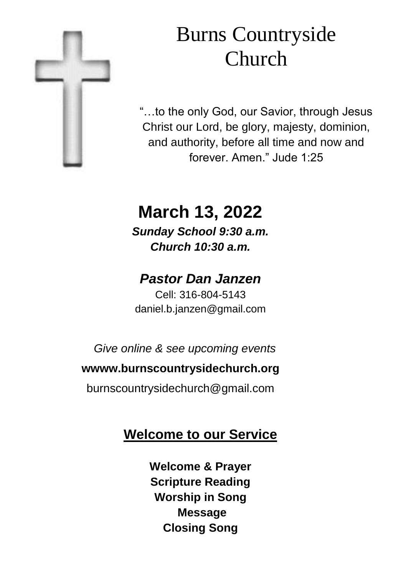

# Burns Countryside Church

"…to the only God, our Savior, through Jesus Christ our Lord, be glory, majesty, dominion, and authority, before all time and now and forever. Amen." Jude 1:25

# **March 13, 2022**

*Sunday School 9:30 a.m. Church 10:30 a.m.*

# *Pastor Dan Janzen*

Cell: 316-804-5143 daniel.b.janzen@gmail.com

*Give online & see upcoming events*

#### **wwww.burnscountrysidechurch.org**

burnscountrysidechurch@gmail.com

## **Welcome to our Service**

**Welcome & Prayer Scripture Reading Worship in Song Message Closing Song**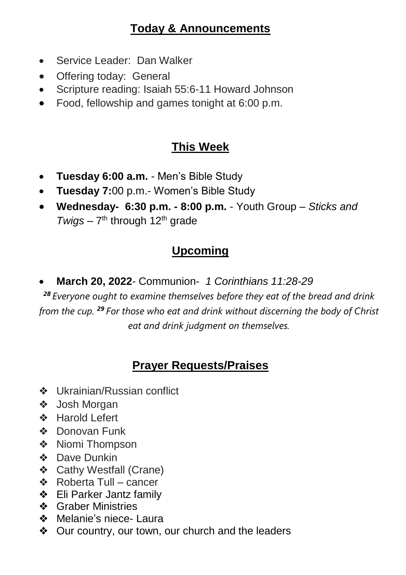#### **Today & Announcements**

- Service Leader: Dan Walker
- Offering today: General
- Scripture reading: Isaiah 55:6-11 Howard Johnson
- Food, fellowship and games tonight at 6:00 p.m.

## **This Week**

- **Tuesday 6:00 a.m.**  Men's Bible Study
- **Tuesday 7:**00 p.m.- Women's Bible Study
- **Wednesday- 6:30 p.m. - 8:00 p.m.**  Youth Group *Sticks and*  Twigs – 7<sup>th</sup> through 12<sup>th</sup> grade

## **Upcoming**

**March 20, 2022**- Communion- *1 Corinthians 11:28-29*

*<sup>28</sup> Everyone ought to examine themselves before they eat of the bread and drink from the cup. <sup>29</sup> For those who eat and drink without discerning the body of Christ eat and drink judgment on themselves.*

## **Prayer Requests/Praises**

- ❖ Ukrainian/Russian conflict
- ❖ Josh Morgan
- ❖ Harold Lefert
- ❖ Donovan Funk
- ❖ Niomi Thompson
- ❖ Dave Dunkin
- ❖ Cathy Westfall (Crane)
- ❖ Roberta Tull cancer
- ❖ Eli Parker Jantz family
- ❖ Graber Ministries
- ❖ Melanie's niece- Laura
- ❖ Our country, our town, our church and the leaders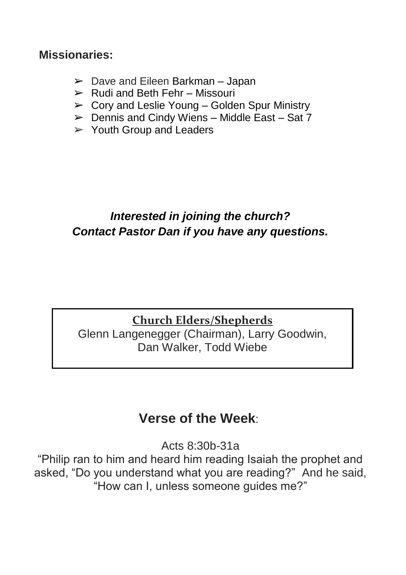#### **Missionaries:**

- $\geq$  Dave and Eileen Barkman Japan
- $\triangleright$  Rudi and Beth Fehr Missouri
- $\triangleright$  Corv and Leslie Young Golden Spur Ministry
- $\triangleright$  Dennis and Cindy Wiens Middle East Sat 7
- $\geq$  Youth Group and Leaders

## *Interested in joining the church? Contact Pastor Dan if you have any questions.*

#### **Church Elders/Shepherds**

Glenn Langenegger (Chairman), Larry Goodwin, Dan Walker, Todd Wiebe

## **Verse of the Week**:

Acts 8:30b-31a

"Philip ran to him and heard him reading Isaiah the prophet and asked, "Do you understand what you are reading?" And he said, "How can I, unless someone guides me?"